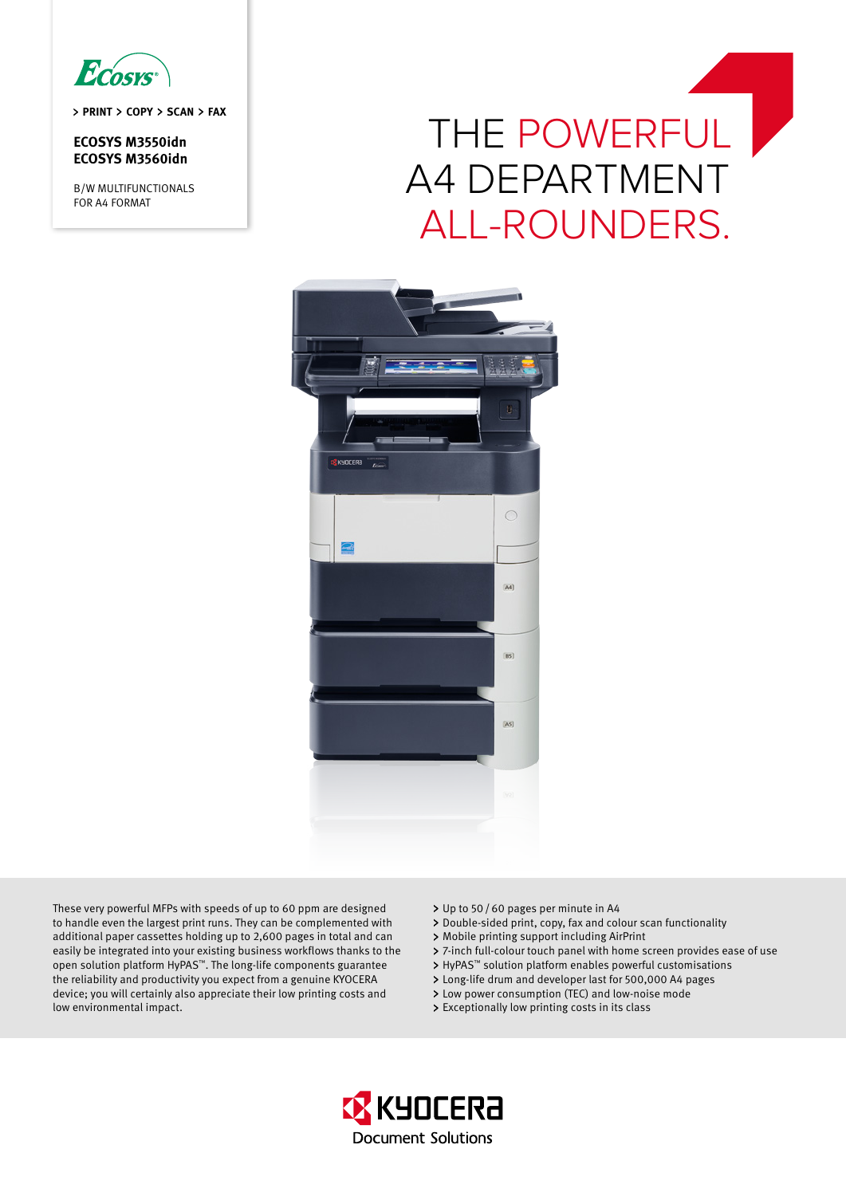

**PRINT COPY SCAN FAX** 

## **ECOSYS M3550idn ECOSYS M3560idn**

B/W MULTIFUNCTIONALS FOR A4 FORMAT

# THE POWERFUL A4 DEPARTMENT ALL-ROUNDERS.



These very powerful MFPs with speeds of up to 60 ppm are designed to handle even the largest print runs. They can be complemented with additional paper cassettes holding up to 2,600 pages in total and can easily be integrated into your existing business workflows thanks to the open solution platform HyPAS™. The long-life components guarantee the reliability and productivity you expect from a genuine KYOCERA device; you will certainly also appreciate their low printing costs and low environmental impact.

- Up to 50/60 pages per minute in A4
- Double-sided print, copy, fax and colour scan functionality
- Mobile printing support including AirPrint
- 7-inch full-colour touch panel with home screen provides ease of use
- > HyPAS<sup>™</sup> solution platform enables powerful customisations
- Long-life drum and developer last for 500,000 A4 pages
- Low power consumption (TEC) and low-noise mode
- Exceptionally low printing costs in its class